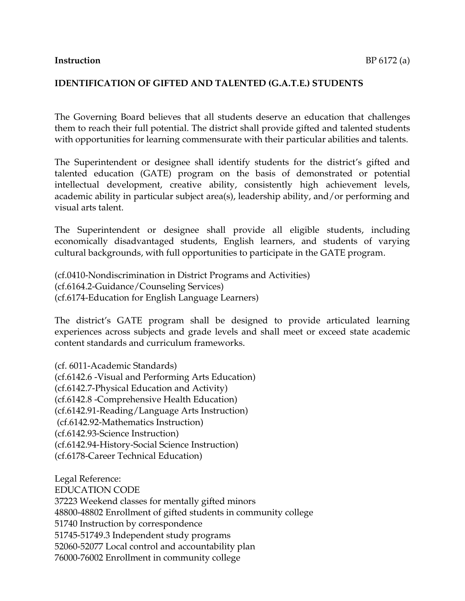#### **Instruction** BP 6172 (a)

#### **IDENTIFICATION OF GIFTED AND TALENTED (G.A.T.E.) STUDENTS**

The Governing Board believes that all students deserve an education that challenges them to reach their full potential. The district shall provide gifted and talented students with opportunities for learning commensurate with their particular abilities and talents.

The Superintendent or designee shall identify students for the district's gifted and talented education (GATE) program on the basis of demonstrated or potential intellectual development, creative ability, consistently high achievement levels, academic ability in particular subject area(s), leadership ability, and/or performing and visual arts talent.

The Superintendent or designee shall provide all eligible students, including economically disadvantaged students, English learners, and students of varying cultural backgrounds, with full opportunities to participate in the GATE program.

(cf.0410-Nondiscrimination in District Programs and Activities) (cf.6164.2-Guidance/Counseling Services) (cf.6174-Education for English Language Learners)

The district's GATE program shall be designed to provide articulated learning experiences across subjects and grade levels and shall meet or exceed state academic content standards and curriculum frameworks.

(cf. 6011-Academic Standards) (cf.6142.6 -Visual and Performing Arts Education) (cf.6142.7-Physical Education and Activity) (cf.6142.8 -Comprehensive Health Education) (cf.6142.91-Reading/Language Arts Instruction) (cf.6142.92-Mathematics Instruction) (cf.6142.93-Science Instruction) (cf.6142.94-History-Social Science Instruction) (cf.6178-Career Technical Education)

Legal Reference: EDUCATION CODE 37223 Weekend classes for mentally gifted minors 48800-48802 Enrollment of gifted students in community college 51740 Instruction by correspondence 51745-51749.3 Independent study programs 52060-52077 Local control and accountability plan 76000-76002 Enrollment in community college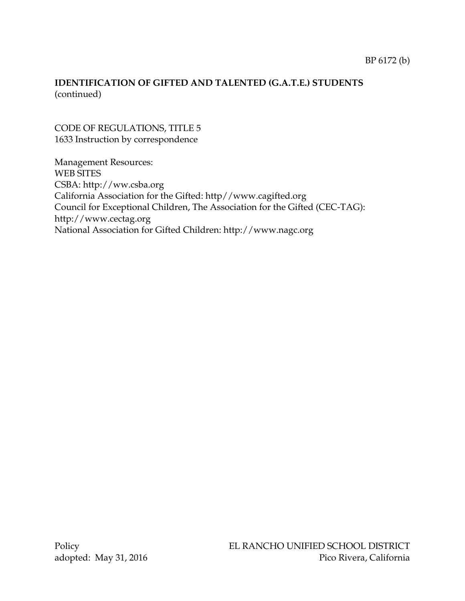# **IDENTIFICATION OF GIFTED AND TALENTED (G.A.T.E.) STUDENTS** (continued)

### CODE OF REGULATIONS, TITLE 5 1633 Instruction by correspondence

Management Resources: WEB SITES CSBA: [http://ww.csba.org](http://ww.csba.org/) California Association for the Gifted: http//www.cagifted.org Council for Exceptional Children, The Association for the Gifted (CEC-TAG): [http://www.cectag.org](http://www.cectag.org/) National Association for Gifted Children: http://www.nagc.org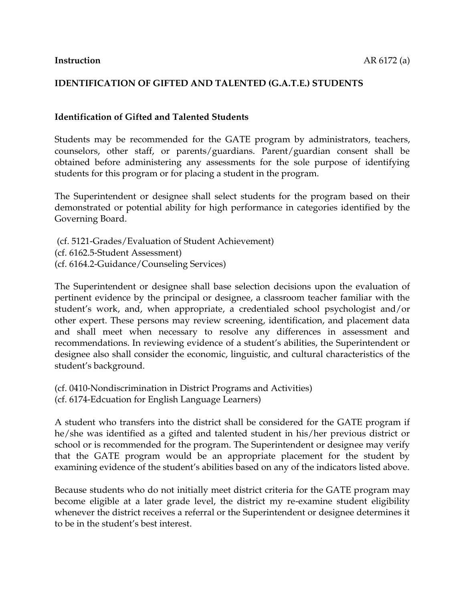### **IDENTIFICATION OF GIFTED AND TALENTED (G.A.T.E.) STUDENTS**

#### **Identification of Gifted and Talented Students**

Students may be recommended for the GATE program by administrators, teachers, counselors, other staff, or parents/guardians. Parent/guardian consent shall be obtained before administering any assessments for the sole purpose of identifying students for this program or for placing a student in the program.

The Superintendent or designee shall select students for the program based on their demonstrated or potential ability for high performance in categories identified by the Governing Board.

(cf. 5121-Grades/Evaluation of Student Achievement) (cf. 6162.5-Student Assessment) (cf. 6164.2-Guidance/Counseling Services)

The Superintendent or designee shall base selection decisions upon the evaluation of pertinent evidence by the principal or designee, a classroom teacher familiar with the student's work, and, when appropriate, a credentialed school psychologist and/or other expert. These persons may review screening, identification, and placement data and shall meet when necessary to resolve any differences in assessment and recommendations. In reviewing evidence of a student's abilities, the Superintendent or designee also shall consider the economic, linguistic, and cultural characteristics of the student's background.

(cf. 0410-Nondiscrimination in District Programs and Activities) (cf. 6174-Edcuation for English Language Learners)

A student who transfers into the district shall be considered for the GATE program if he/she was identified as a gifted and talented student in his/her previous district or school or is recommended for the program. The Superintendent or designee may verify that the GATE program would be an appropriate placement for the student by examining evidence of the student's abilities based on any of the indicators listed above.

Because students who do not initially meet district criteria for the GATE program may become eligible at a later grade level, the district my re-examine student eligibility whenever the district receives a referral or the Superintendent or designee determines it to be in the student's best interest.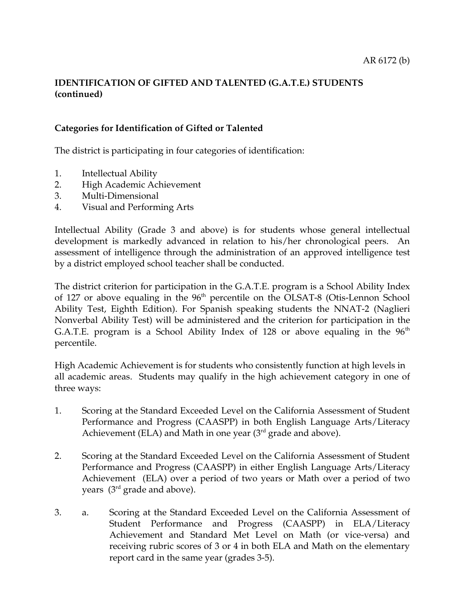# **IDENTIFICATION OF GIFTED AND TALENTED (G.A.T.E.) STUDENTS (continued)**

### **Categories for Identification of Gifted or Talented**

The district is participating in four categories of identification:

- 1. Intellectual Ability
- 2. High Academic Achievement
- 3. Multi-Dimensional
- 4. Visual and Performing Arts

Intellectual Ability (Grade 3 and above) is for students whose general intellectual development is markedly advanced in relation to his/her chronological peers. An assessment of intelligence through the administration of an approved intelligence test by a district employed school teacher shall be conducted.

The district criterion for participation in the G.A.T.E. program is a School Ability Index of 127 or above equaling in the  $96<sup>th</sup>$  percentile on the OLSAT-8 (Otis-Lennon School Ability Test, Eighth Edition). For Spanish speaking students the NNAT-2 (Naglieri Nonverbal Ability Test) will be administered and the criterion for participation in the G.A.T.E. program is a School Ability Index of 128 or above equaling in the  $96<sup>th</sup>$ percentile.

High Academic Achievement is for students who consistently function at high levels in all academic areas. Students may qualify in the high achievement category in one of three ways:

- 1. Scoring at the Standard Exceeded Level on the California Assessment of Student Performance and Progress (CAASPP) in both English Language Arts/Literacy Achievement (ELA) and Math in one year  $(3<sup>rd</sup>$  grade and above).
- 2. Scoring at the Standard Exceeded Level on the California Assessment of Student Performance and Progress (CAASPP) in either English Language Arts/Literacy Achievement (ELA) over a period of two years or Math over a period of two years  $(3<sup>rd</sup>$  grade and above).
- 3. a. Scoring at the Standard Exceeded Level on the California Assessment of Student Performance and Progress (CAASPP) in ELA/Literacy Achievement and Standard Met Level on Math (or vice-versa) and receiving rubric scores of 3 or 4 in both ELA and Math on the elementary report card in the same year (grades 3-5).